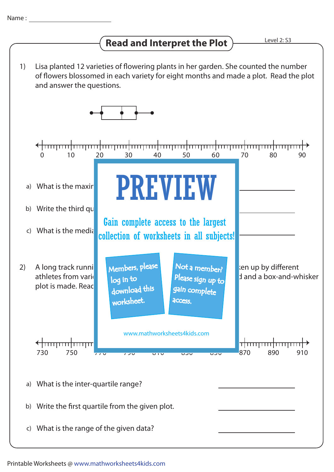## **Read and Interpret the Plot**  $\overline{\phantom{a}}$  Level 2: S3

1) Lisa planted 12 varieties of flowering plants in her garden. She counted the number of flowers blossomed in each variety for eight months and made a plot. Read the plot and answer the questions. 0 10 20 30 40 50 60 70 80 90 PREVIEW a) What is the maximum number  $\blacksquare$ b) Write the third  $qu$ Gain complete access to the largest c) What is the media collection of worksheets in all subjects!Not a member? A long track running Members, please and Mot a members of the up by different 2) Please sign up to athletes from various countries. The time in second are the time in second are tracked and a box-and-whisker log in to plot is made. Read download this gain complete worksheet. **access** www.mathworksheets4kids.com <del>╷╎╷╷╷╷╷╷╎╷╷╷╷╷╷╎</del> <del>< | mmmm| mmm</del> 730 770 790 810 830 850 870 910 750 890 a) What is the inter-quartile range? b) Write the first quartile from the given plot. c) What is the range of the given data?